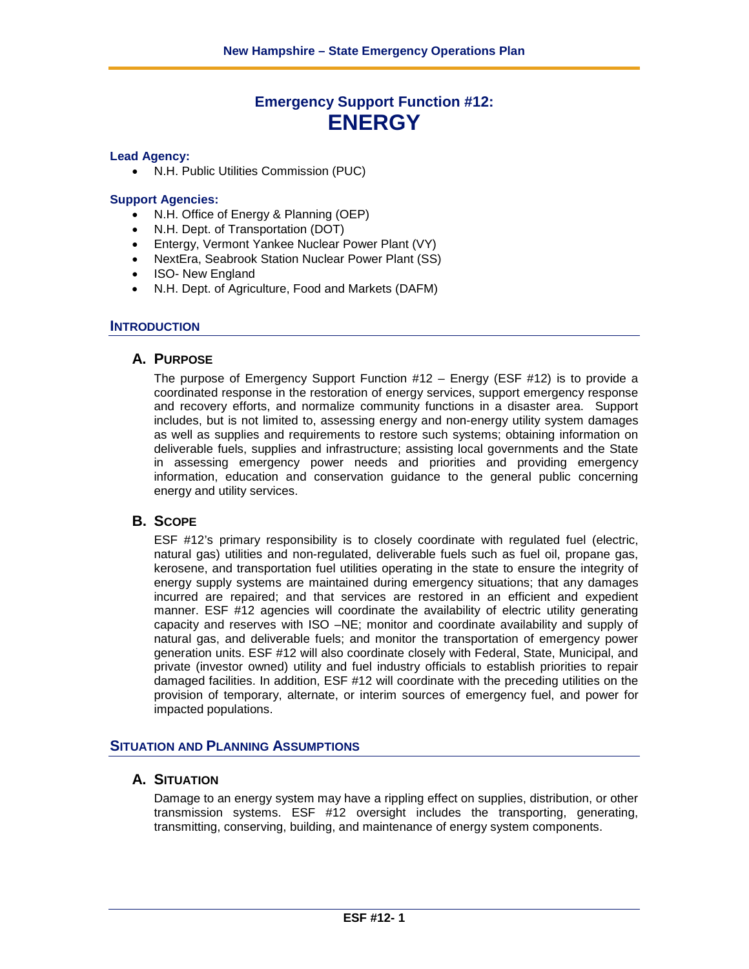# **Emergency Support Function #12: ENERGY**

#### **Lead Agency:**

• N.H. Public Utilities Commission (PUC)

#### **Support Agencies:**

- N.H. Office of Energy & Planning (OEP)
- N.H. Dept. of Transportation (DOT)
- Entergy, Vermont Yankee Nuclear Power Plant (VY)
- NextEra, Seabrook Station Nuclear Power Plant (SS)
- ISO- New England
- N.H. Dept. of Agriculture, Food and Markets (DAFM)

#### **INTRODUCTION**

#### **A. PURPOSE**

The purpose of Emergency Support Function  $#12 -$  Energy (ESF  $#12$ ) is to provide a coordinated response in the restoration of energy services, support emergency response and recovery efforts, and normalize community functions in a disaster area. Support includes, but is not limited to, assessing energy and non-energy utility system damages as well as supplies and requirements to restore such systems; obtaining information on deliverable fuels, supplies and infrastructure; assisting local governments and the State in assessing emergency power needs and priorities and providing emergency information, education and conservation guidance to the general public concerning energy and utility services.

# **B. SCOPE**

ESF #12's primary responsibility is to closely coordinate with regulated fuel (electric, natural gas) utilities and non-regulated, deliverable fuels such as fuel oil, propane gas, kerosene, and transportation fuel utilities operating in the state to ensure the integrity of energy supply systems are maintained during emergency situations; that any damages incurred are repaired; and that services are restored in an efficient and expedient manner. ESF #12 agencies will coordinate the availability of electric utility generating capacity and reserves with ISO –NE; monitor and coordinate availability and supply of natural gas, and deliverable fuels; and monitor the transportation of emergency power generation units. ESF #12 will also coordinate closely with Federal, State, Municipal, and private (investor owned) utility and fuel industry officials to establish priorities to repair damaged facilities. In addition, ESF #12 will coordinate with the preceding utilities on the provision of temporary, alternate, or interim sources of emergency fuel, and power for impacted populations.

# **SITUATION AND PLANNING ASSUMPTIONS**

# **A. SITUATION**

Damage to an energy system may have a rippling effect on supplies, distribution, or other transmission systems. ESF #12 oversight includes the transporting, generating, transmitting, conserving, building, and maintenance of energy system components.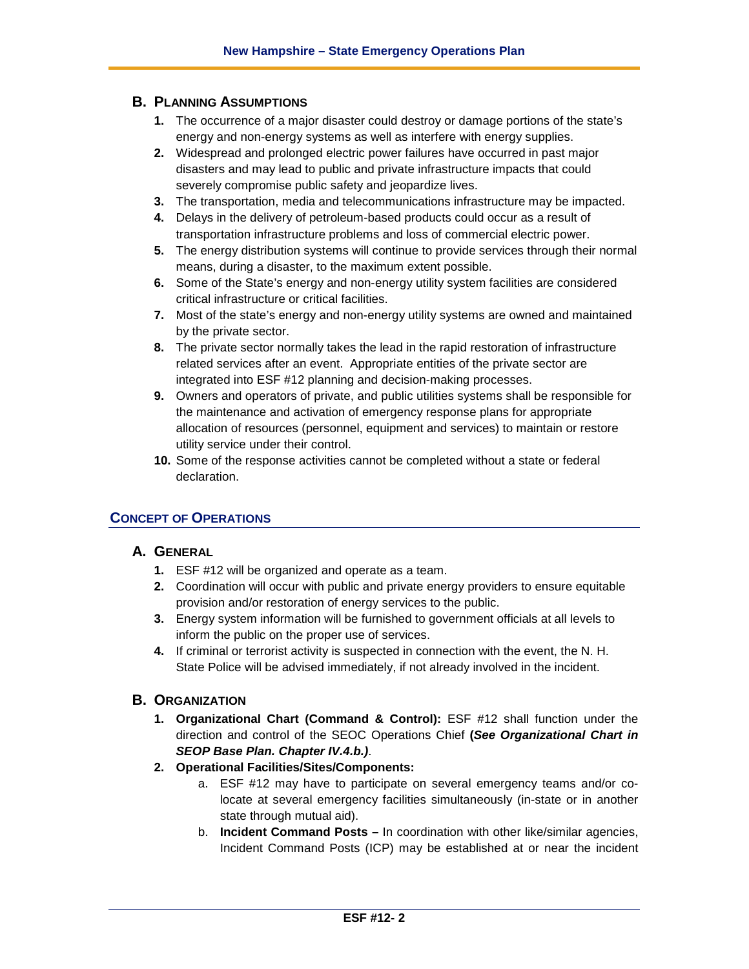# **B. PLANNING ASSUMPTIONS**

- **1.** The occurrence of a major disaster could destroy or damage portions of the state's energy and non-energy systems as well as interfere with energy supplies.
- **2.** Widespread and prolonged electric power failures have occurred in past major disasters and may lead to public and private infrastructure impacts that could severely compromise public safety and jeopardize lives.
- **3.** The transportation, media and telecommunications infrastructure may be impacted.
- **4.** Delays in the delivery of petroleum-based products could occur as a result of transportation infrastructure problems and loss of commercial electric power.
- **5.** The energy distribution systems will continue to provide services through their normal means, during a disaster, to the maximum extent possible.
- **6.** Some of the State's energy and non-energy utility system facilities are considered critical infrastructure or critical facilities.
- **7.** Most of the state's energy and non-energy utility systems are owned and maintained by the private sector.
- **8.** The private sector normally takes the lead in the rapid restoration of infrastructure related services after an event. Appropriate entities of the private sector are integrated into ESF #12 planning and decision-making processes.
- **9.** Owners and operators of private, and public utilities systems shall be responsible for the maintenance and activation of emergency response plans for appropriate allocation of resources (personnel, equipment and services) to maintain or restore utility service under their control.
- **10.** Some of the response activities cannot be completed without a state or federal declaration.

# **CONCEPT OF OPERATIONS**

# **A. GENERAL**

- **1.** ESF #12 will be organized and operate as a team.
- **2.** Coordination will occur with public and private energy providers to ensure equitable provision and/or restoration of energy services to the public.
- **3.** Energy system information will be furnished to government officials at all levels to inform the public on the proper use of services.
- **4.** If criminal or terrorist activity is suspected in connection with the event, the N. H. State Police will be advised immediately, if not already involved in the incident.

# **B. ORGANIZATION**

- **1. Organizational Chart (Command & Control):** ESF #12 shall function under the direction and control of the SEOC Operations Chief **(***See Organizational Chart in SEOP Base Plan. Chapter IV.4.b.)*.
- **2. Operational Facilities/Sites/Components:**
	- a. ESF #12 may have to participate on several emergency teams and/or colocate at several emergency facilities simultaneously (in-state or in another state through mutual aid).
	- b. **Incident Command Posts –** In coordination with other like/similar agencies, Incident Command Posts (ICP) may be established at or near the incident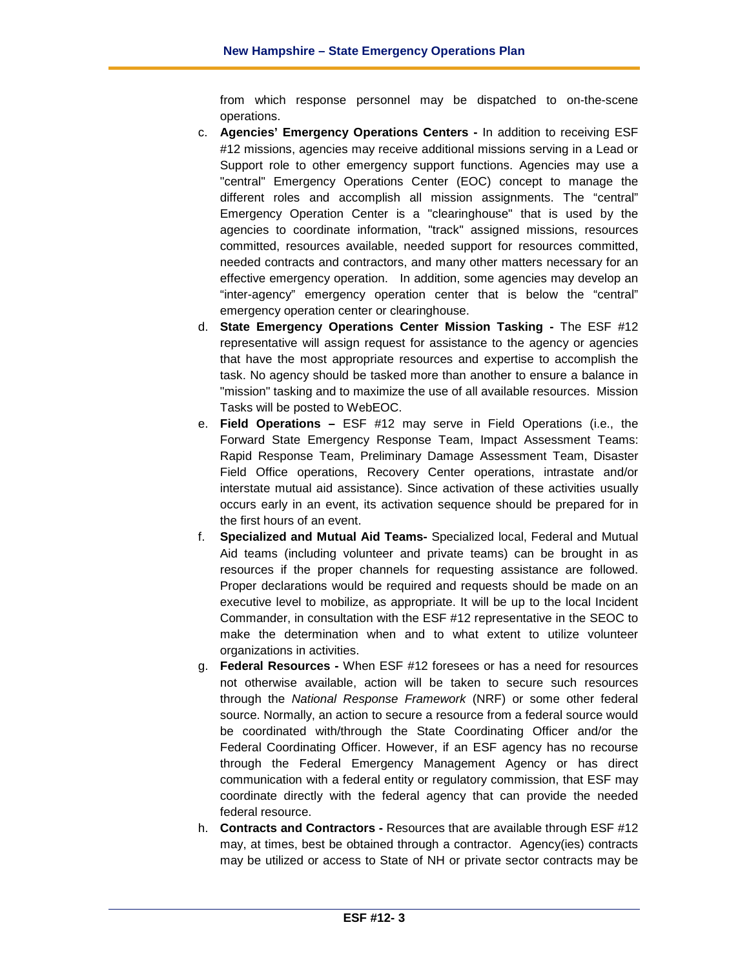from which response personnel may be dispatched to on-the-scene operations.

- c. **Agencies' Emergency Operations Centers -** In addition to receiving ESF #12 missions, agencies may receive additional missions serving in a Lead or Support role to other emergency support functions. Agencies may use a "central" Emergency Operations Center (EOC) concept to manage the different roles and accomplish all mission assignments. The "central" Emergency Operation Center is a "clearinghouse" that is used by the agencies to coordinate information, "track" assigned missions, resources committed, resources available, needed support for resources committed, needed contracts and contractors, and many other matters necessary for an effective emergency operation. In addition, some agencies may develop an "inter-agency" emergency operation center that is below the "central" emergency operation center or clearinghouse.
- d. **State Emergency Operations Center Mission Tasking -** The ESF #12 representative will assign request for assistance to the agency or agencies that have the most appropriate resources and expertise to accomplish the task. No agency should be tasked more than another to ensure a balance in "mission" tasking and to maximize the use of all available resources. Mission Tasks will be posted to WebEOC.
- e. **Field Operations –** ESF #12 may serve in Field Operations (i.e., the Forward State Emergency Response Team, Impact Assessment Teams: Rapid Response Team, Preliminary Damage Assessment Team, Disaster Field Office operations, Recovery Center operations, intrastate and/or interstate mutual aid assistance). Since activation of these activities usually occurs early in an event, its activation sequence should be prepared for in the first hours of an event.
- f. **Specialized and Mutual Aid Teams-** Specialized local, Federal and Mutual Aid teams (including volunteer and private teams) can be brought in as resources if the proper channels for requesting assistance are followed. Proper declarations would be required and requests should be made on an executive level to mobilize, as appropriate. It will be up to the local Incident Commander, in consultation with the ESF #12 representative in the SEOC to make the determination when and to what extent to utilize volunteer organizations in activities.
- g. **Federal Resources -** When ESF #12 foresees or has a need for resources not otherwise available, action will be taken to secure such resources through the *National Response Framework* (NRF) or some other federal source. Normally, an action to secure a resource from a federal source would be coordinated with/through the State Coordinating Officer and/or the Federal Coordinating Officer. However, if an ESF agency has no recourse through the Federal Emergency Management Agency or has direct communication with a federal entity or regulatory commission, that ESF may coordinate directly with the federal agency that can provide the needed federal resource.
- h. **Contracts and Contractors -** Resources that are available through ESF #12 may, at times, best be obtained through a contractor. Agency(ies) contracts may be utilized or access to State of NH or private sector contracts may be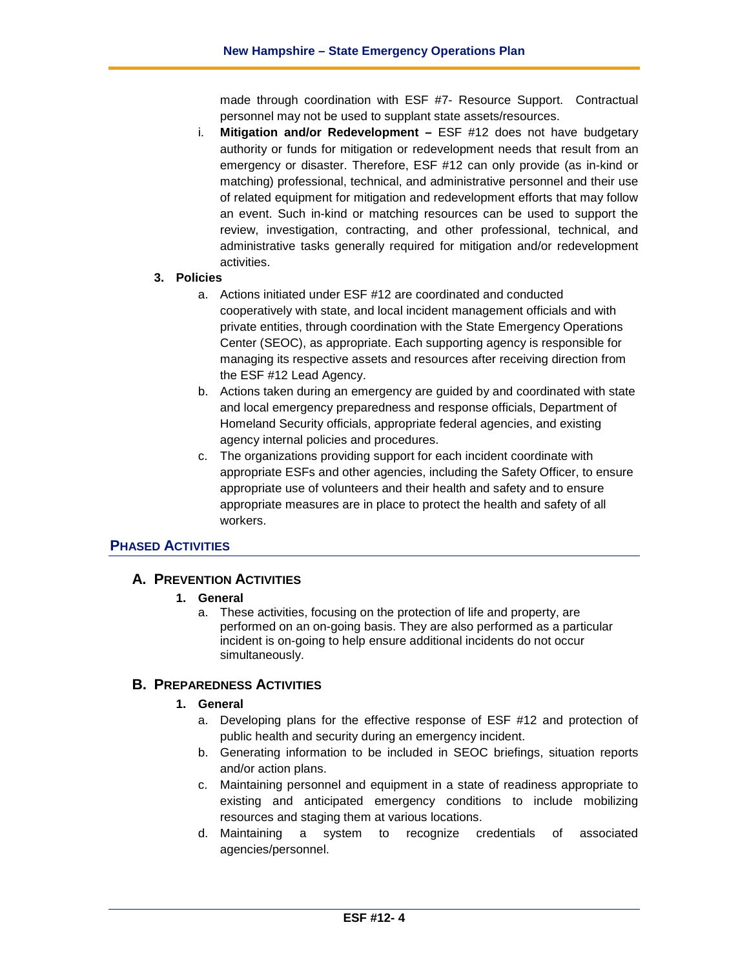made through coordination with ESF #7- Resource Support. Contractual personnel may not be used to supplant state assets/resources.

i. **Mitigation and/or Redevelopment –** ESF #12 does not have budgetary authority or funds for mitigation or redevelopment needs that result from an emergency or disaster. Therefore, ESF #12 can only provide (as in-kind or matching) professional, technical, and administrative personnel and their use of related equipment for mitigation and redevelopment efforts that may follow an event. Such in-kind or matching resources can be used to support the review, investigation, contracting, and other professional, technical, and administrative tasks generally required for mitigation and/or redevelopment activities.

#### **3. Policies**

- a. Actions initiated under ESF #12 are coordinated and conducted cooperatively with state, and local incident management officials and with private entities, through coordination with the State Emergency Operations Center (SEOC), as appropriate. Each supporting agency is responsible for managing its respective assets and resources after receiving direction from the ESF #12 Lead Agency.
- b. Actions taken during an emergency are guided by and coordinated with state and local emergency preparedness and response officials, Department of Homeland Security officials, appropriate federal agencies, and existing agency internal policies and procedures.
- c. The organizations providing support for each incident coordinate with appropriate ESFs and other agencies, including the Safety Officer, to ensure appropriate use of volunteers and their health and safety and to ensure appropriate measures are in place to protect the health and safety of all workers.

# **PHASED ACTIVITIES**

# **A. PREVENTION ACTIVITIES**

#### **1. General**

a. These activities, focusing on the protection of life and property, are performed on an on-going basis. They are also performed as a particular incident is on-going to help ensure additional incidents do not occur simultaneously.

# **B. PREPAREDNESS ACTIVITIES**

#### **1. General**

- a. Developing plans for the effective response of ESF #12 and protection of public health and security during an emergency incident.
- b. Generating information to be included in SEOC briefings, situation reports and/or action plans.
- c. Maintaining personnel and equipment in a state of readiness appropriate to existing and anticipated emergency conditions to include mobilizing resources and staging them at various locations.
- d. Maintaining a system to recognize credentials of associated agencies/personnel.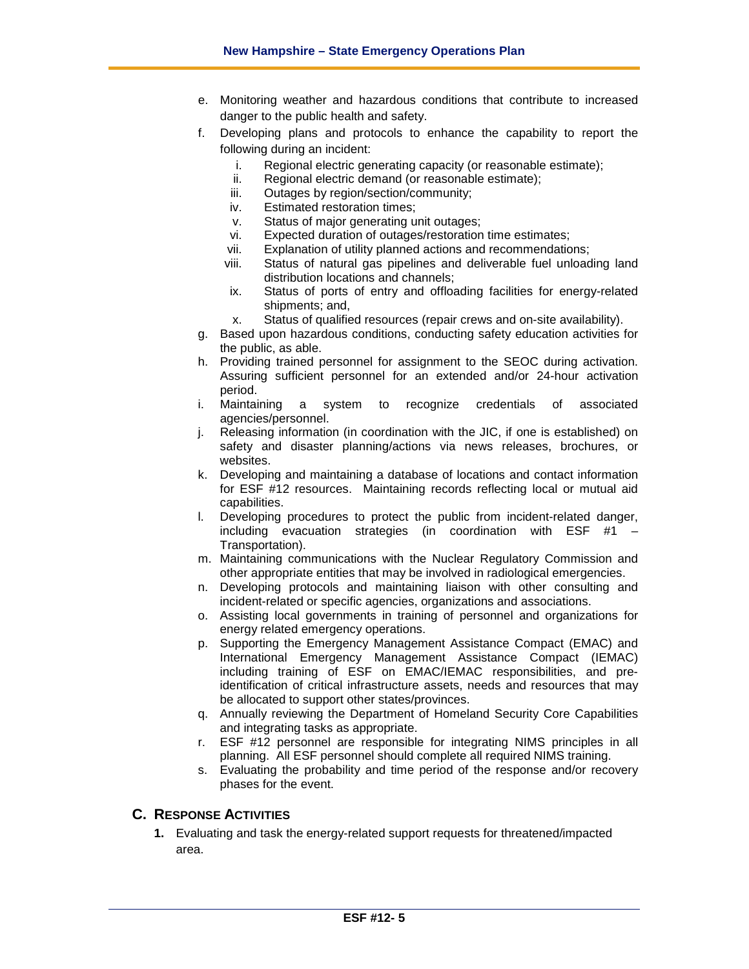- e. Monitoring weather and hazardous conditions that contribute to increased danger to the public health and safety.
- f. Developing plans and protocols to enhance the capability to report the following during an incident:
	- i. Regional electric generating capacity (or reasonable estimate);
	- ii. Regional electric demand (or reasonable estimate);
	- iii. Outages by region/section/community;
	- iv. Estimated restoration times;
	- v. Status of major generating unit outages;
	- vi. Expected duration of outages/restoration time estimates;<br>vii. Explanation of utility planned actions and recommendatio
	- Explanation of utility planned actions and recommendations;
	- viii. Status of natural gas pipelines and deliverable fuel unloading land distribution locations and channels;
	- ix. Status of ports of entry and offloading facilities for energy-related shipments; and,
	- x. Status of qualified resources (repair crews and on-site availability).
- g. Based upon hazardous conditions, conducting safety education activities for the public, as able.
- h. Providing trained personnel for assignment to the SEOC during activation. Assuring sufficient personnel for an extended and/or 24-hour activation period.
- i. Maintaining a system to recognize credentials of associated agencies/personnel.
- j. Releasing information (in coordination with the JIC, if one is established) on safety and disaster planning/actions via news releases, brochures, or websites.
- k. Developing and maintaining a database of locations and contact information for ESF #12 resources. Maintaining records reflecting local or mutual aid capabilities.
- l. Developing procedures to protect the public from incident-related danger, including evacuation strategies (in coordination with ESF #1 – Transportation).
- m. Maintaining communications with the Nuclear Regulatory Commission and other appropriate entities that may be involved in radiological emergencies.
- n. Developing protocols and maintaining liaison with other consulting and incident-related or specific agencies, organizations and associations.
- o. Assisting local governments in training of personnel and organizations for energy related emergency operations.
- p. Supporting the Emergency Management Assistance Compact (EMAC) and International Emergency Management Assistance Compact (IEMAC) including training of ESF on EMAC/IEMAC responsibilities, and preidentification of critical infrastructure assets, needs and resources that may be allocated to support other states/provinces.
- q. Annually reviewing the Department of Homeland Security Core Capabilities and integrating tasks as appropriate.
- r. ESF #12 personnel are responsible for integrating NIMS principles in all planning. All ESF personnel should complete all required NIMS training.
- s. Evaluating the probability and time period of the response and/or recovery phases for the event.

# **C. RESPONSE ACTIVITIES**

**1.** Evaluating and task the energy-related support requests for threatened/impacted area.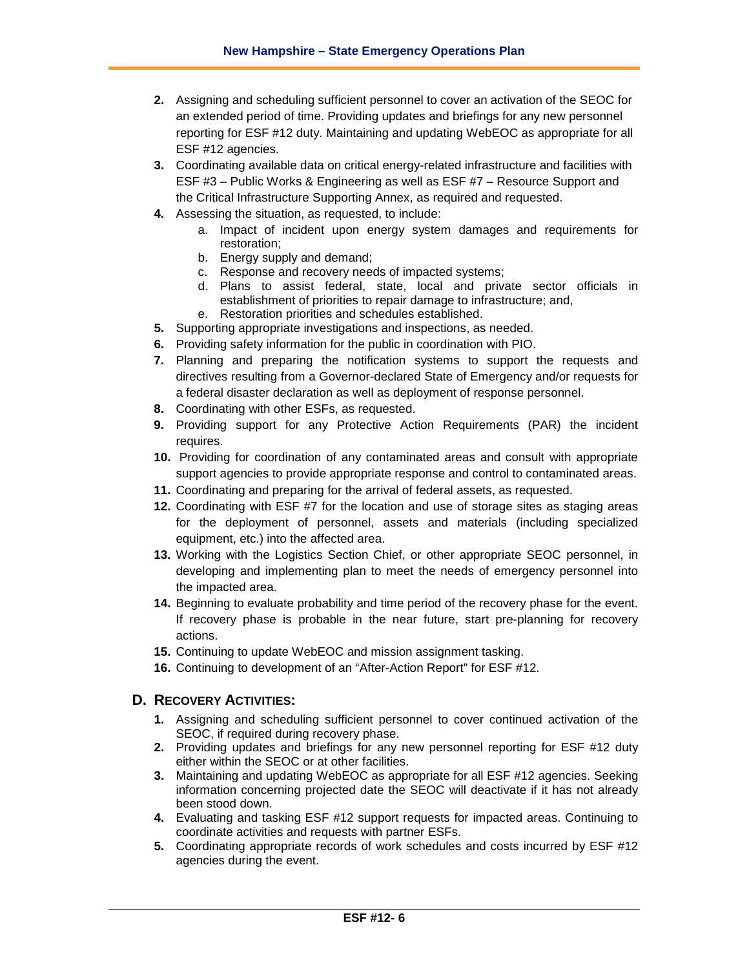- **2.** Assigning and scheduling sufficient personnel to cover an activation of the SEOC for an extended period of time. Providing updates and briefings for any new personnel reporting for ESF #12 duty. Maintaining and updating WebEOC as appropriate for all ESF #12 agencies.
- **3.** Coordinating available data on critical energy-related infrastructure and facilities with ESF #3 – Public Works & Engineering as well as ESF #7 – Resource Support and the Critical Infrastructure Supporting Annex, as required and requested.
- **4.** Assessing the situation, as requested, to include:
	- a. Impact of incident upon energy system damages and requirements for restoration;
	- b. Energy supply and demand;
	- c. Response and recovery needs of impacted systems;
	- d. Plans to assist federal, state, local and private sector officials in establishment of priorities to repair damage to infrastructure; and,
	- e. Restoration priorities and schedules established.
- **5.** Supporting appropriate investigations and inspections, as needed.
- **6.** Providing safety information for the public in coordination with PIO.
- **7.** Planning and preparing the notification systems to support the requests and directives resulting from a Governor-declared State of Emergency and/or requests for a federal disaster declaration as well as deployment of response personnel.
- **8.** Coordinating with other ESFs, as requested.
- **9.** Providing support for any Protective Action Requirements (PAR) the incident requires.
- **10.** Providing for coordination of any contaminated areas and consult with appropriate support agencies to provide appropriate response and control to contaminated areas.
- **11.** Coordinating and preparing for the arrival of federal assets, as requested.
- **12.** Coordinating with ESF #7 for the location and use of storage sites as staging areas for the deployment of personnel, assets and materials (including specialized equipment, etc.) into the affected area.
- **13.** Working with the Logistics Section Chief, or other appropriate SEOC personnel, in developing and implementing plan to meet the needs of emergency personnel into the impacted area.
- **14.** Beginning to evaluate probability and time period of the recovery phase for the event. If recovery phase is probable in the near future, start pre-planning for recovery actions.
- **15.** Continuing to update WebEOC and mission assignment tasking.
- **16.** Continuing to development of an "After-Action Report" for ESF #12.

# **D. RECOVERY ACTIVITIES:**

- **1.** Assigning and scheduling sufficient personnel to cover continued activation of the SEOC, if required during recovery phase.
- **2.** Providing updates and briefings for any new personnel reporting for ESF #12 duty either within the SEOC or at other facilities.
- **3.** Maintaining and updating WebEOC as appropriate for all ESF #12 agencies. Seeking information concerning projected date the SEOC will deactivate if it has not already been stood down.
- **4.** Evaluating and tasking ESF #12 support requests for impacted areas. Continuing to coordinate activities and requests with partner ESFs.
- **5.** Coordinating appropriate records of work schedules and costs incurred by ESF #12 agencies during the event.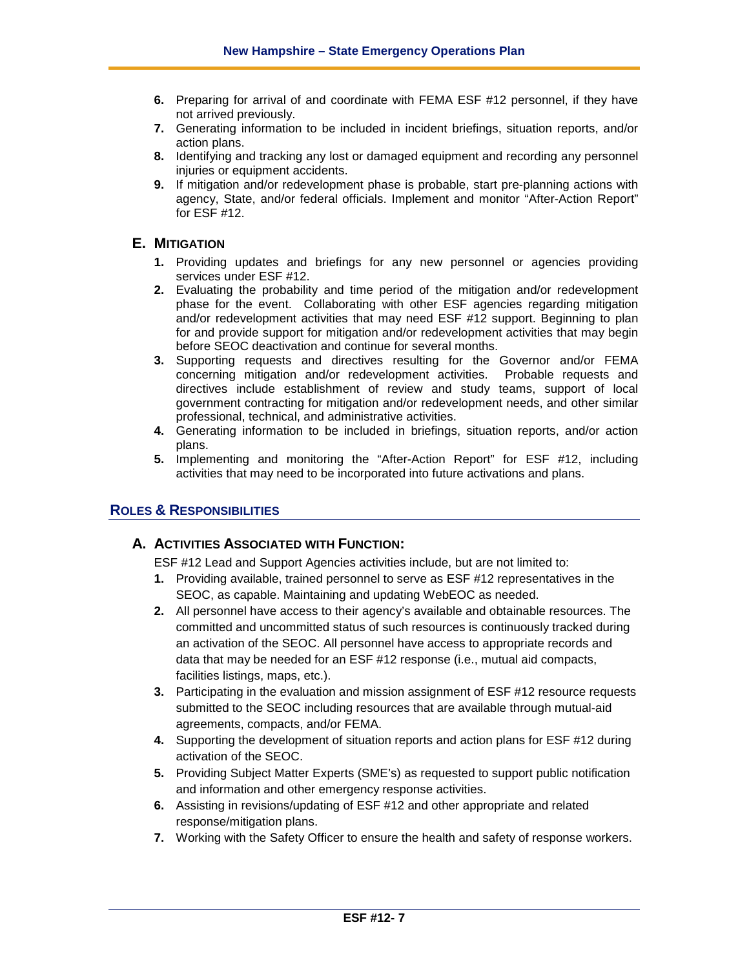- **6.** Preparing for arrival of and coordinate with FEMA ESF #12 personnel, if they have not arrived previously.
- **7.** Generating information to be included in incident briefings, situation reports, and/or action plans.
- **8.** Identifying and tracking any lost or damaged equipment and recording any personnel injuries or equipment accidents.
- **9.** If mitigation and/or redevelopment phase is probable, start pre-planning actions with agency, State, and/or federal officials. Implement and monitor "After-Action Report" for ESF #12.

# **E. MITIGATION**

- **1.** Providing updates and briefings for any new personnel or agencies providing services under ESF #12.
- **2.** Evaluating the probability and time period of the mitigation and/or redevelopment phase for the event. Collaborating with other ESF agencies regarding mitigation and/or redevelopment activities that may need ESF #12 support. Beginning to plan for and provide support for mitigation and/or redevelopment activities that may begin before SEOC deactivation and continue for several months.
- **3.** Supporting requests and directives resulting for the Governor and/or FEMA concerning mitigation and/or redevelopment activities. Probable requests and directives include establishment of review and study teams, support of local government contracting for mitigation and/or redevelopment needs, and other similar professional, technical, and administrative activities.
- **4.** Generating information to be included in briefings, situation reports, and/or action plans.
- **5.** Implementing and monitoring the "After-Action Report" for ESF #12, including activities that may need to be incorporated into future activations and plans.

# **ROLES & RESPONSIBILITIES**

# **A. ACTIVITIES ASSOCIATED WITH FUNCTION:**

ESF #12 Lead and Support Agencies activities include, but are not limited to:

- **1.** Providing available, trained personnel to serve as ESF #12 representatives in the SEOC, as capable. Maintaining and updating WebEOC as needed.
- **2.** All personnel have access to their agency's available and obtainable resources. The committed and uncommitted status of such resources is continuously tracked during an activation of the SEOC. All personnel have access to appropriate records and data that may be needed for an ESF #12 response (i.e., mutual aid compacts, facilities listings, maps, etc.).
- **3.** Participating in the evaluation and mission assignment of ESF #12 resource requests submitted to the SEOC including resources that are available through mutual-aid agreements, compacts, and/or FEMA.
- **4.** Supporting the development of situation reports and action plans for ESF #12 during activation of the SEOC.
- **5.** Providing Subject Matter Experts (SME's) as requested to support public notification and information and other emergency response activities.
- **6.** Assisting in revisions/updating of ESF #12 and other appropriate and related response/mitigation plans.
- **7.** Working with the Safety Officer to ensure the health and safety of response workers.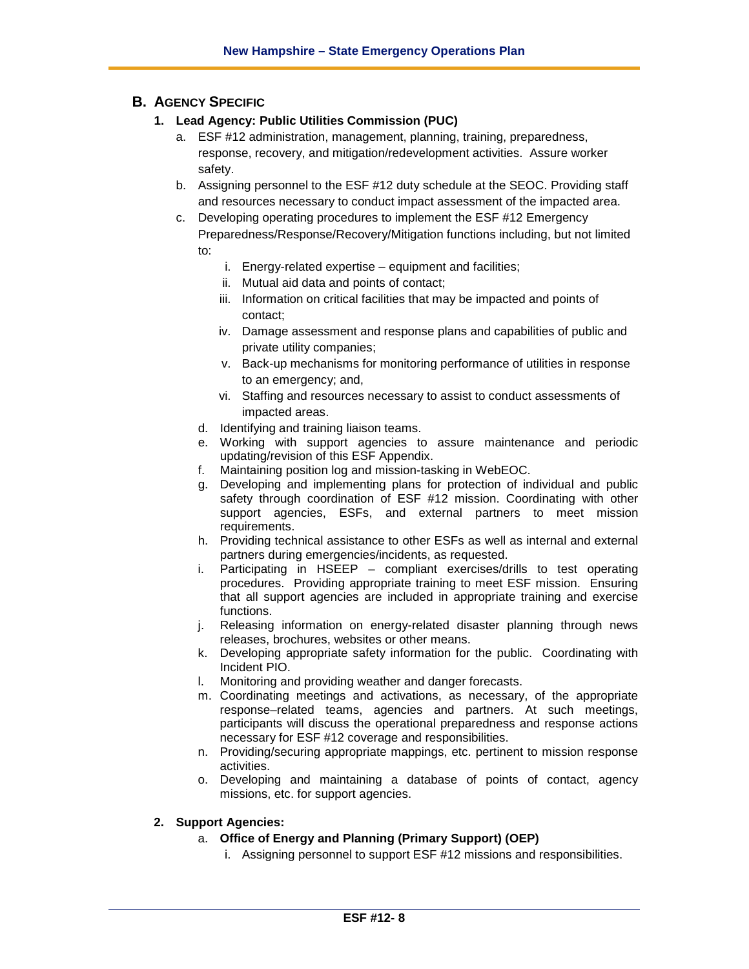# **B. AGENCY SPECIFIC**

- **1. Lead Agency: Public Utilities Commission (PUC)**
	- a. ESF #12 administration, management, planning, training, preparedness, response, recovery, and mitigation/redevelopment activities. Assure worker safety.
	- b. Assigning personnel to the ESF #12 duty schedule at the SEOC. Providing staff and resources necessary to conduct impact assessment of the impacted area.
	- c. Developing operating procedures to implement the ESF #12 Emergency Preparedness/Response/Recovery/Mitigation functions including, but not limited to:
		- - i. Energy-related expertise equipment and facilities;
			- ii. Mutual aid data and points of contact;
			- iii. Information on critical facilities that may be impacted and points of contact;
			- iv. Damage assessment and response plans and capabilities of public and private utility companies;
			- v. Back-up mechanisms for monitoring performance of utilities in response to an emergency; and,
			- vi. Staffing and resources necessary to assist to conduct assessments of impacted areas.
		- d. Identifying and training liaison teams.
		- e. Working with support agencies to assure maintenance and periodic updating/revision of this ESF Appendix.
		- f. Maintaining position log and mission-tasking in WebEOC.
		- g. Developing and implementing plans for protection of individual and public safety through coordination of ESF #12 mission. Coordinating with other support agencies, ESFs, and external partners to meet mission requirements.
		- h. Providing technical assistance to other ESFs as well as internal and external partners during emergencies/incidents, as requested.
		- i. Participating in HSEEP compliant exercises/drills to test operating procedures. Providing appropriate training to meet ESF mission. Ensuring that all support agencies are included in appropriate training and exercise functions.
		- j. Releasing information on energy-related disaster planning through news releases, brochures, websites or other means.
		- k. Developing appropriate safety information for the public. Coordinating with Incident PIO.
		- l. Monitoring and providing weather and danger forecasts.
		- m. Coordinating meetings and activations, as necessary, of the appropriate response–related teams, agencies and partners. At such meetings, participants will discuss the operational preparedness and response actions necessary for ESF #12 coverage and responsibilities.
		- n. Providing/securing appropriate mappings, etc. pertinent to mission response activities.
		- o. Developing and maintaining a database of points of contact, agency missions, etc. for support agencies.

# **2. Support Agencies:**

- a. **Office of Energy and Planning (Primary Support) (OEP)**
	- i. Assigning personnel to support ESF #12 missions and responsibilities.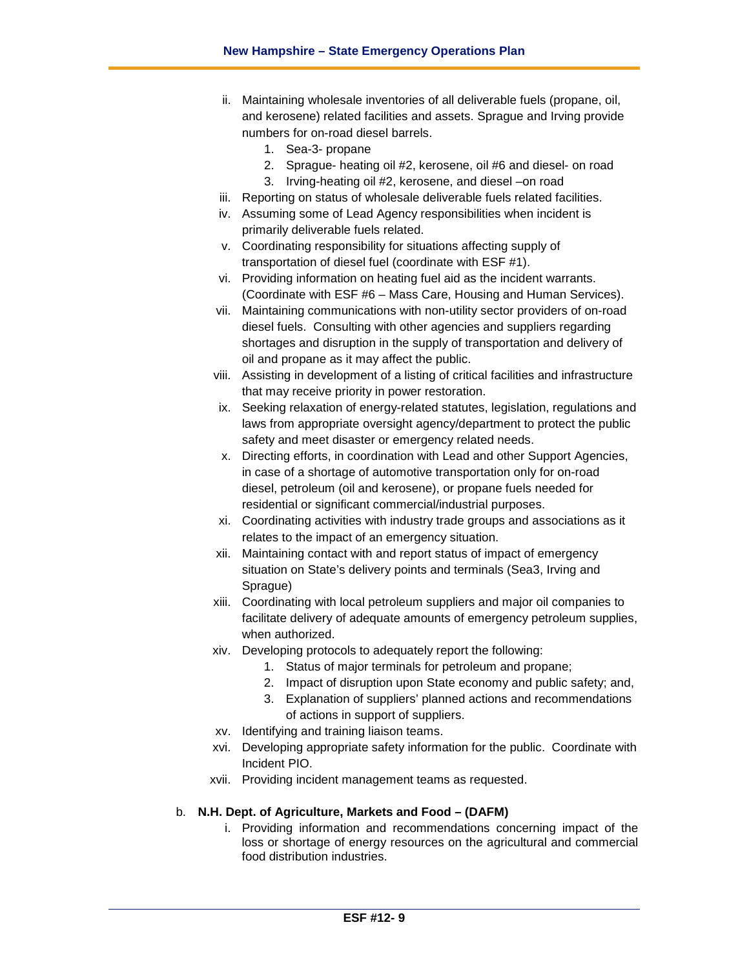- ii. Maintaining wholesale inventories of all deliverable fuels (propane, oil, and kerosene) related facilities and assets. Sprague and Irving provide numbers for on-road diesel barrels.
	- 1. Sea-3- propane
	- 2. Sprague- heating oil #2, kerosene, oil #6 and diesel- on road
	- 3. Irving-heating oil #2, kerosene, and diesel –on road
- iii. Reporting on status of wholesale deliverable fuels related facilities.
- iv. Assuming some of Lead Agency responsibilities when incident is primarily deliverable fuels related.
- v. Coordinating responsibility for situations affecting supply of transportation of diesel fuel (coordinate with ESF #1).
- vi. Providing information on heating fuel aid as the incident warrants. (Coordinate with ESF #6 – Mass Care, Housing and Human Services).
- vii. Maintaining communications with non-utility sector providers of on-road diesel fuels. Consulting with other agencies and suppliers regarding shortages and disruption in the supply of transportation and delivery of oil and propane as it may affect the public.
- viii. Assisting in development of a listing of critical facilities and infrastructure that may receive priority in power restoration.
- ix. Seeking relaxation of energy-related statutes, legislation, regulations and laws from appropriate oversight agency/department to protect the public safety and meet disaster or emergency related needs.
- x. Directing efforts, in coordination with Lead and other Support Agencies, in case of a shortage of automotive transportation only for on-road diesel, petroleum (oil and kerosene), or propane fuels needed for residential or significant commercial/industrial purposes.
- xi. Coordinating activities with industry trade groups and associations as it relates to the impact of an emergency situation.
- xii. Maintaining contact with and report status of impact of emergency situation on State's delivery points and terminals (Sea3, Irving and Sprague)
- xiii. Coordinating with local petroleum suppliers and major oil companies to facilitate delivery of adequate amounts of emergency petroleum supplies, when authorized.
- xiv. Developing protocols to adequately report the following:
	- 1. Status of major terminals for petroleum and propane;
	- 2. Impact of disruption upon State economy and public safety; and,
	- 3. Explanation of suppliers' planned actions and recommendations of actions in support of suppliers.
- xv. Identifying and training liaison teams.
- xvi. Developing appropriate safety information for the public. Coordinate with Incident PIO.
- xvii. Providing incident management teams as requested.

# b. **N.H. Dept. of Agriculture, Markets and Food – (DAFM)**

i. Providing information and recommendations concerning impact of the loss or shortage of energy resources on the agricultural and commercial food distribution industries.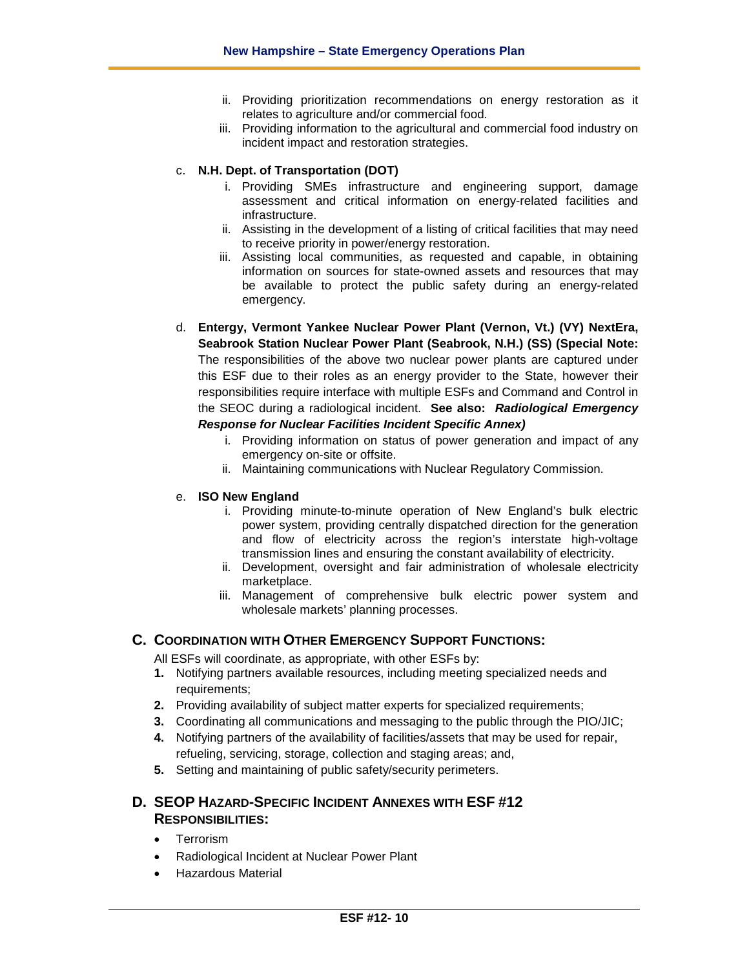- ii. Providing prioritization recommendations on energy restoration as it relates to agriculture and/or commercial food.
- iii. Providing information to the agricultural and commercial food industry on incident impact and restoration strategies.

#### c. **N.H. Dept. of Transportation (DOT)**

- i. Providing SMEs infrastructure and engineering support, damage assessment and critical information on energy-related facilities and infrastructure.
- ii. Assisting in the development of a listing of critical facilities that may need to receive priority in power/energy restoration.
- iii. Assisting local communities, as requested and capable, in obtaining information on sources for state-owned assets and resources that may be available to protect the public safety during an energy-related emergency.
- d. **Entergy, Vermont Yankee Nuclear Power Plant (Vernon, Vt.) (VY) NextEra, Seabrook Station Nuclear Power Plant (Seabrook, N.H.) (SS) (Special Note:**  The responsibilities of the above two nuclear power plants are captured under this ESF due to their roles as an energy provider to the State, however their responsibilities require interface with multiple ESFs and Command and Control in the SEOC during a radiological incident. **See also:** *Radiological Emergency Response for Nuclear Facilities Incident Specific Annex)*
	- i. Providing information on status of power generation and impact of any emergency on-site or offsite.
	- ii. Maintaining communications with Nuclear Regulatory Commission.

#### e. **ISO New England**

- i. Providing minute-to-minute operation of New England's bulk electric power system, providing centrally dispatched direction for the generation and flow of electricity across the region's interstate high-voltage transmission lines and ensuring the constant availability of electricity.
- ii. Development, oversight and fair administration of wholesale electricity marketplace.
- iii. Management of comprehensive bulk electric power system and wholesale markets' planning processes.

# **C. COORDINATION WITH OTHER EMERGENCY SUPPORT FUNCTIONS:**

All ESFs will coordinate, as appropriate, with other ESFs by:

- **1.** Notifying partners available resources, including meeting specialized needs and requirements;
- **2.** Providing availability of subject matter experts for specialized requirements;
- **3.** Coordinating all communications and messaging to the public through the PIO/JIC;
- **4.** Notifying partners of the availability of facilities/assets that may be used for repair, refueling, servicing, storage, collection and staging areas; and,
- **5.** Setting and maintaining of public safety/security perimeters.

# **D. SEOP HAZARD-SPECIFIC INCIDENT ANNEXES WITH ESF #12 RESPONSIBILITIES:**

- Terrorism
- Radiological Incident at Nuclear Power Plant
- Hazardous Material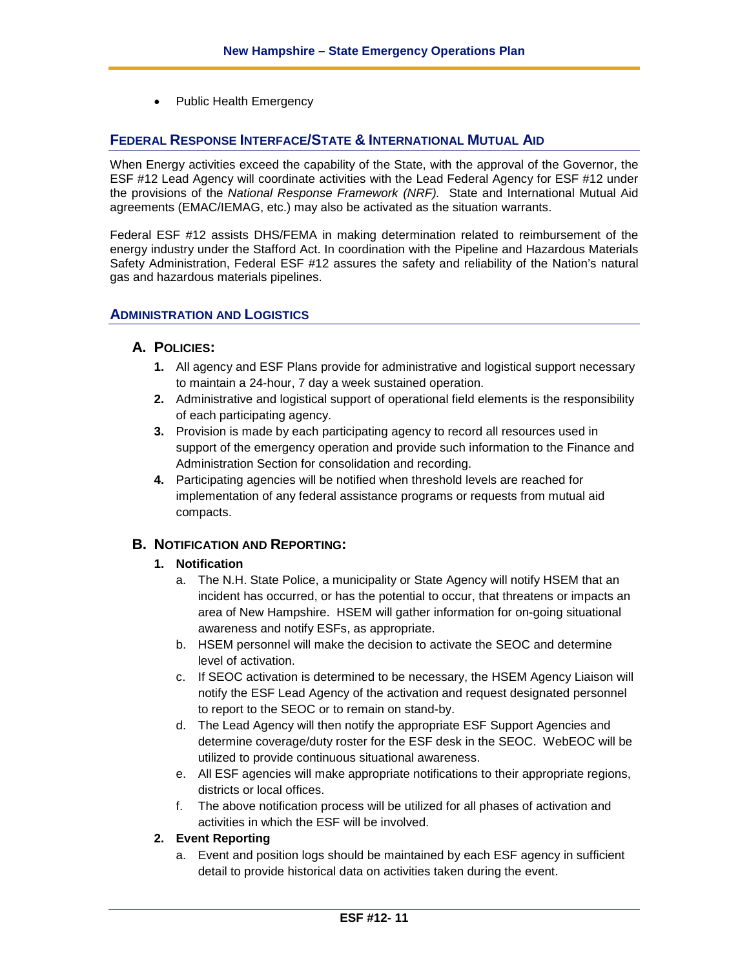• Public Health Emergency

# **FEDERAL RESPONSE INTERFACE/STATE & INTERNATIONAL MUTUAL AID**

When Energy activities exceed the capability of the State, with the approval of the Governor, the ESF #12 Lead Agency will coordinate activities with the Lead Federal Agency for ESF #12 under the provisions of the *National Response Framework (NRF).* State and International Mutual Aid agreements (EMAC/IEMAG, etc.) may also be activated as the situation warrants.

Federal ESF #12 assists DHS/FEMA in making determination related to reimbursement of the energy industry under the Stafford Act. In coordination with the Pipeline and Hazardous Materials Safety Administration, Federal ESF #12 assures the safety and reliability of the Nation's natural gas and hazardous materials pipelines.

# **ADMINISTRATION AND LOGISTICS**

# **A. POLICIES:**

- **1.** All agency and ESF Plans provide for administrative and logistical support necessary to maintain a 24-hour, 7 day a week sustained operation.
- **2.** Administrative and logistical support of operational field elements is the responsibility of each participating agency.
- **3.** Provision is made by each participating agency to record all resources used in support of the emergency operation and provide such information to the Finance and Administration Section for consolidation and recording.
- **4.** Participating agencies will be notified when threshold levels are reached for implementation of any federal assistance programs or requests from mutual aid compacts.

# **B. NOTIFICATION AND REPORTING:**

# **1. Notification**

- a. The N.H. State Police, a municipality or State Agency will notify HSEM that an incident has occurred, or has the potential to occur, that threatens or impacts an area of New Hampshire. HSEM will gather information for on-going situational awareness and notify ESFs, as appropriate.
- b. HSEM personnel will make the decision to activate the SEOC and determine level of activation.
- c. If SEOC activation is determined to be necessary, the HSEM Agency Liaison will notify the ESF Lead Agency of the activation and request designated personnel to report to the SEOC or to remain on stand-by.
- d. The Lead Agency will then notify the appropriate ESF Support Agencies and determine coverage/duty roster for the ESF desk in the SEOC. WebEOC will be utilized to provide continuous situational awareness.
- e. All ESF agencies will make appropriate notifications to their appropriate regions, districts or local offices.
- f. The above notification process will be utilized for all phases of activation and activities in which the ESF will be involved.

# **2. Event Reporting**

a. Event and position logs should be maintained by each ESF agency in sufficient detail to provide historical data on activities taken during the event.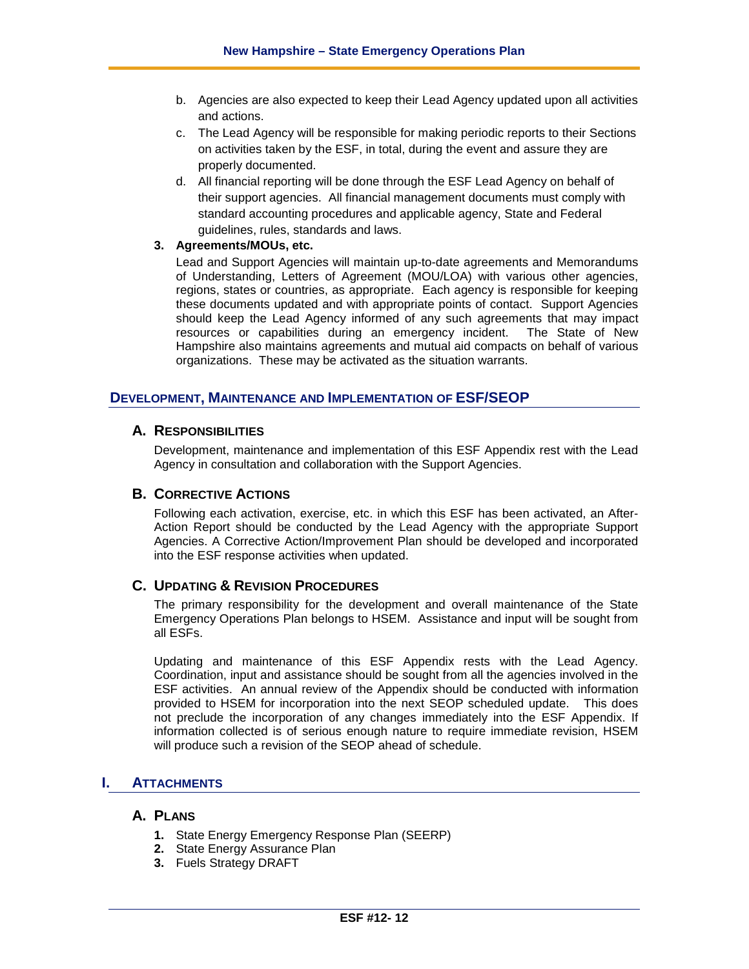- b. Agencies are also expected to keep their Lead Agency updated upon all activities and actions.
- c. The Lead Agency will be responsible for making periodic reports to their Sections on activities taken by the ESF, in total, during the event and assure they are properly documented.
- d. All financial reporting will be done through the ESF Lead Agency on behalf of their support agencies. All financial management documents must comply with standard accounting procedures and applicable agency, State and Federal guidelines, rules, standards and laws.

#### **3. Agreements/MOUs, etc.**

Lead and Support Agencies will maintain up-to-date agreements and Memorandums of Understanding, Letters of Agreement (MOU/LOA) with various other agencies, regions, states or countries, as appropriate. Each agency is responsible for keeping these documents updated and with appropriate points of contact. Support Agencies should keep the Lead Agency informed of any such agreements that may impact resources or capabilities during an emergency incident. The State of New Hampshire also maintains agreements and mutual aid compacts on behalf of various organizations. These may be activated as the situation warrants.

# **DEVELOPMENT, MAINTENANCE AND IMPLEMENTATION OF ESF/SEOP**

# **A. RESPONSIBILITIES**

Development, maintenance and implementation of this ESF Appendix rest with the Lead Agency in consultation and collaboration with the Support Agencies.

# **B. CORRECTIVE ACTIONS**

Following each activation, exercise, etc. in which this ESF has been activated, an After-Action Report should be conducted by the Lead Agency with the appropriate Support Agencies. A Corrective Action/Improvement Plan should be developed and incorporated into the ESF response activities when updated.

# **C. UPDATING & REVISION PROCEDURES**

The primary responsibility for the development and overall maintenance of the State Emergency Operations Plan belongs to HSEM. Assistance and input will be sought from all ESFs.

Updating and maintenance of this ESF Appendix rests with the Lead Agency. Coordination, input and assistance should be sought from all the agencies involved in the ESF activities. An annual review of the Appendix should be conducted with information provided to HSEM for incorporation into the next SEOP scheduled update. This does not preclude the incorporation of any changes immediately into the ESF Appendix. If information collected is of serious enough nature to require immediate revision, HSEM will produce such a revision of the SEOP ahead of schedule.

# **I. ATTACHMENTS**

# **A. PLANS**

- **1.** State Energy Emergency Response Plan (SEERP)
- **2.** State Energy Assurance Plan
- **3.** Fuels Strategy DRAFT